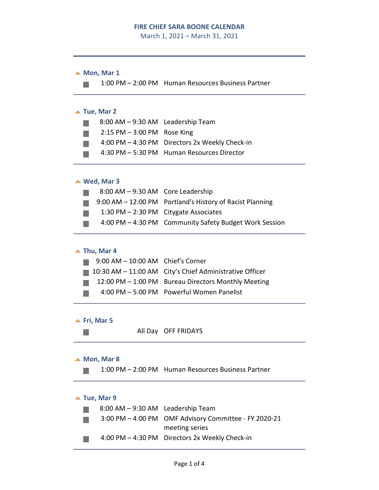#### **FIRE CHIEF SARA BOONE CALENDAR**

March 1, 2021 – March 31, 2021

▲ Mon, Mar 1

 $\mathbb{R}^n$ 

1:00 PM – 2:00 PM Human Resources Business Partner

#### ▲ Tue, Mar 2

| 8:00 AM - 9:30 AM Leadership Team |                                                |
|-----------------------------------|------------------------------------------------|
| $2:15$ PM $-3:00$ PM Rose King    |                                                |
|                                   | 4:00 PM - 4:30 PM Directors 2x Weekly Check-in |
|                                   | 4:30 PM - 5:30 PM Human Resources Director     |

#### **Wed, Mar 3**

| 8:00 AM - 9:30 AM Core Leadership |                                                          |
|-----------------------------------|----------------------------------------------------------|
|                                   | 9:00 AM - 12:00 PM Portland's History of Racist Planning |
|                                   | 1:30 PM $-$ 2:30 PM Citygate Associates                  |
|                                   | 4:00 PM - 4:30 PM Community Safety Budget Work Session   |

#### ▲ Thu, Mar 4

| $\blacksquare$ 9:00 AM - 10:00 AM Chief's Corner |                                                                          |
|--------------------------------------------------|--------------------------------------------------------------------------|
|                                                  | $\blacksquare$ 10:30 AM $-$ 11:00 AM City's Chief Administrative Officer |
| a sa sa                                          | 12:00 PM - 1:00 PM Bureau Directors Monthly Meeting                      |
| a sa Ba                                          | 4:00 PM - 5:00 PM Powerful Women Panelist                                |

▲ Fri, Mar 5

 $\mathcal{L}_{\mathcal{A}}$ 

**T** 

All Day OFF FRIDAYS

## ▲ Mon, Mar 8

1:00 PM – 2:00 PM Human Resources Business Partner

## ▲ Tue, Mar 9

| 8:00 AM - 9:30 AM Leadership Team |                                                       |
|-----------------------------------|-------------------------------------------------------|
|                                   | 3:00 PM - 4:00 PM OMF Advisory Committee - FY 2020-21 |
|                                   | meeting series                                        |
|                                   | 4:00 PM - 4:30 PM Directors 2x Weekly Check-in        |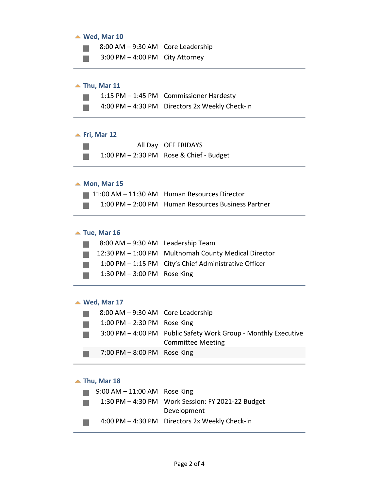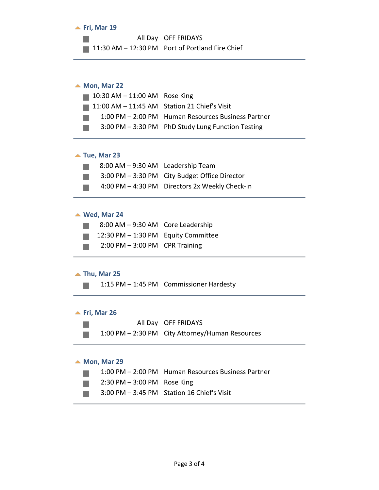**<u>A</u>** Fri, Mar 19

a a

All Day OFF FRIDAYS

11:30 AM - 12:30 PM Port of Portland Fire Chief

# ▲ Mon, Mar 22

| 10:30 AM $-$ 11:00 AM Rose King                             |                                                    |
|-------------------------------------------------------------|----------------------------------------------------|
| $\blacksquare$ 11:00 AM - 11:45 AM Station 21 Chief's Visit |                                                    |
| . .                                                         | 1:00 PM - 2:00 PM Human Resources Business Partner |
| a sa B                                                      | 3:00 PM - 3:30 PM PhD Study Lung Function Testing  |

#### ▲ Tue, Mar 23

| <b>Tall</b>                 | 8:00 AM - 9:30 AM Leadership Team |                                                |
|-----------------------------|-----------------------------------|------------------------------------------------|
| $\mathcal{L}^{\mathcal{A}}$ |                                   | 3:00 PM - 3:30 PM City Budget Office Director  |
|                             |                                   | 4:00 PM - 4:30 PM Directors 2x Weekly Check-in |

## **Wed, Mar 24**

| 8:00 AM - 9:30 AM Core Leadership   |  |
|-------------------------------------|--|
| 12:30 PM - 1:30 PM Equity Committee |  |
| $2:00$ PM $-3:00$ PM CPR Training   |  |

#### **Thu, Mar 25**

1:15 PM – 1:45 PM Commissioner Hardesty **College** 

#### **<u>▲ Fri, Mar 26</u>**



## ▲ Mon, Mar 29

|      |                                               | 1:00 PM - 2:00 PM Human Resources Business Partner |
|------|-----------------------------------------------|----------------------------------------------------|
|      | $2:30 \text{ PM} - 3:00 \text{ PM}$ Rose King |                                                    |
| a ka |                                               | $3:00$ PM $-3:45$ PM Station 16 Chief's Visit      |